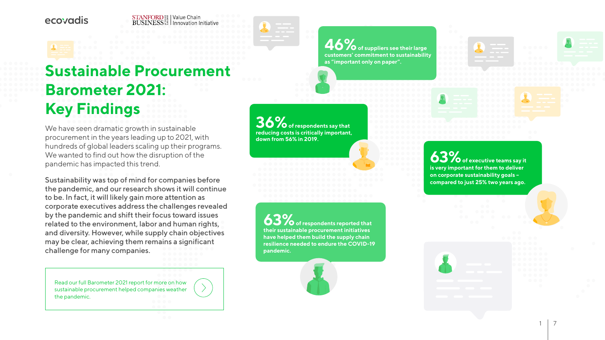#### $STANFORME_{\mathbb{R}}^{\mathbb{S}}$  | Value Chain **BUSINESS**  $\frac{25}{36}$  | Innovation Initiative



# **Sustainable Procurement Barometer 2021: Key Findings**

We have seen dramatic growth in sustainable procurement in the years leading up to 2021, with hundreds of global leaders scaling up their programs. We wanted to find out how the disruption of the pandemic has impacted this trend.

**6 of suppliers see their large customers' commitment to sustainability as "important only on paper".**

**36%** of respondents say that **reducing costs is critically important, down from 56% in 2019.**

Sustainability was top of mind for companies before the pandemic, and our research shows it will continue to be. In fact, it will likely gain more attention as corporate executives address the challenges revealed by the pandemic and shift their focus toward issues related to the environment, labor and human rights, and diversity. However, while supply chain objectives may be clear, achieving them remains a significant challenge for many companies.

**63%** of respondents reported that **their sustainable procurement initiatives have helped them build the supply chain resilience needed to endure the COVID-19** 

**63 of executive teams say it is very important for them to deliver on corporate sustainability goals – compared to just 25% two years ago.** 

**pandemic.**

[Read our full Barometer 2021 report for more on how](https://ecovad.is/3iaQLfD)  [sustainable procurement helped companies weather](https://ecovad.is/3iaQLfD)  the pandemic.

1 7

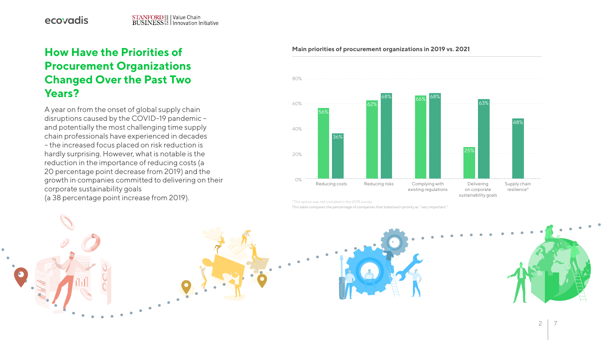$\frac{1}{\sqrt{2}}$ 

 $\bullet\quad\bullet\quad\bullet$ 

2. 2. 2. 2. 1

A year on from the onset of global supply chain disruptions caused by the COVID-19 pandemic – and potentially the most challenging time supply chain professionals have experienced in decades – the increased focus placed on risk reduction is hardly surprising. However, what is notable is the reduction in the importance of reducing costs (a 20 percentage point decrease from 2019) and the growth in companies committed to delivering on their corporate sustainability goals (a 38 percentage point increase from 2019).

## **How Have the Priorities of Procurement Organizations Changed Over the Past Two Years?**

#### **Main priorities of procurement organizations in 2019 vs. 2021**



\*This option was not included in the 2019 survey.

This table compares the percentage of companies that listed each priority as " very important."

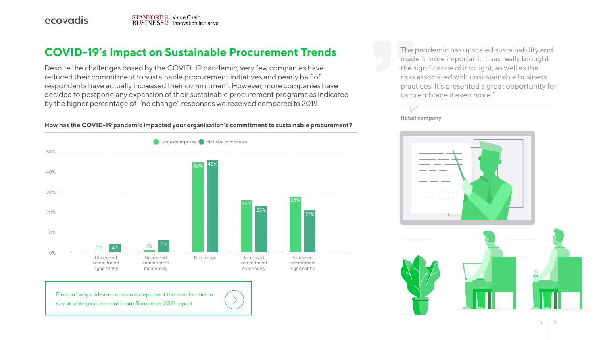

## **COVID-19's Impact on Sustainable Procurement Trends** The pandemic has upscaled sustainability and

Despite the challenges posed by the COVID-19 pandemic, very few companies have reduced their commitment to sustainable procurement initiatives and nearly half of respondents have actually increased their commitment. However, more companies have decided to postpone any expansion of their sustainable procurement programs as indicated by the higher percentage of "no change" responses we received compared to 2019.

made it more important. It has really brought the significance of it to light, as well as the risks associated with unsustainable business practices. It's presented a great opportunity for us to embrace it even more."

**Retail company**



#### **How has the COVID-19 pandemic impacted your organization's commitment to sustainable procurement?**



commitment significantly

Increased 28% 21%



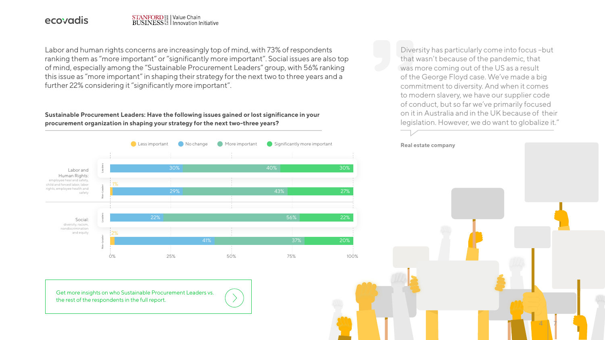## STANFORD<sup>88</sup><br>BUSINESS<sup>88</sup> | Innovation Initiative

Labor and human rights concerns are increasingly top of mind, with 73% of respondents ranking them as "more important" or "significantly more important". Social issues are also top of mind, especially among the "Sustainable Procurement Leaders" group, with 56% ranking this issue as "more important" in shaping their strategy for the next two to three years and a further 22% considering it "significantly more important".

Diversity has particularly come into focus –but that wasn't because of the pandemic, that was more coming out of the US as a result of the George Floyd case. We've made a big commitment to diversity. And when it comes to modern slavery, we have our supplier code of conduct, but so far we've primarily focused on it in Australia and in the UK because of their legislation. However, we do want to globalize it."



[Get more insights on who Sustainable Procurement Leaders vs.](https://ecovad.is/3iaQLfD)  the rest of the respondents in the full report.

#### **Sustainable Procurement Leaders: Have the following issues gained or lost significance in your procurement organization in shaping your strategy for the next two-three years?**

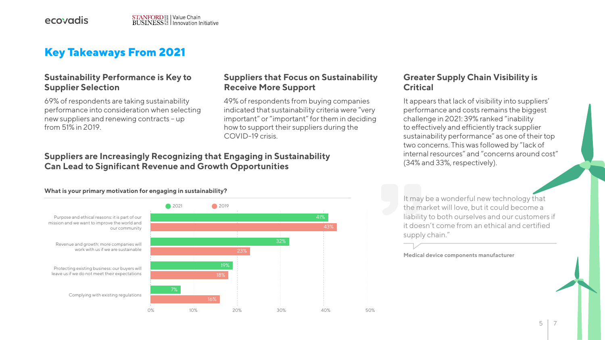It may be a wonderful new technology that the market will love, but it could become a liability to both ourselves and our customers if it doesn't come from an ethical and certified supply chain."

**Medical device components manufacturer** 

5



### **Sustainability Performance is Key to Supplier Selection**

69% of respondents are taking sustainability performance into consideration when selecting new suppliers and renewing contracts – up from 51% in 2019.

### **Suppliers that Focus on Sustainability Receive More Support**

It appears that lack of visibility into suppliers' performance and costs remains the biggest challenge in 2021: 39% ranked "inability to effectively and efficiently track supplier sustainability performance" as one of their top two concerns. This was followed by "lack of internal resources" and "concerns around cost" (34% and 33%, respectively).

49% of respondents from buying companies indicated that sustainability criteria were "very important" or "important" for them in deciding how to support their suppliers during the COVID-19 crisis.

#### **Greater Supply Chain Visibility is Critical**

## **Key Takeaways From 2021**

### **Suppliers are Increasingly Recognizing that Engaging in Sustainability Can Lead to Significant Revenue and Growth Opportunities**



#### **What is your primary motivation for engaging in sustainability?**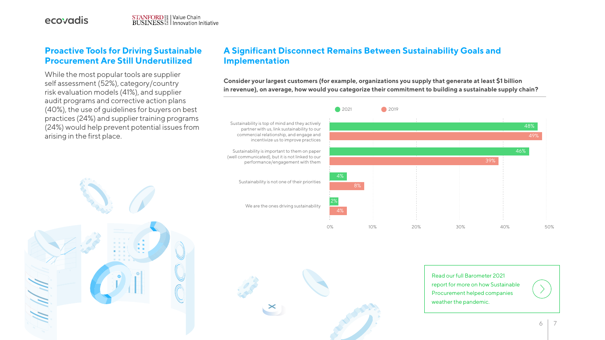### **A Significant Disconnect Remains Between Sustainability Goals and Implementation**

Sustainability is top of mind and they actively partner with us, link sustainability to our commercial relationship, and engage and

Sustainability is important to them on paper (well communicated), but it is not linked to our performance/engagement with them





Sustainability is not one of their priorities

We are the ones driving sustainability





**Consider your largest customers (for example, organizations you supply that generate at least \$1 billion in revenue), on average, how would you categorize their commitment to building a sustainable supply chain?**

#### **Proactive Tools for Driving Sustainable Procurement Are Still Underutilized**

While the most popular tools are supplier self assessment (52%), category/country risk evaluation models (41%), and supplier audit programs and corrective action plans (40%), the use of guidelines for buyers on best practices (24%) and supplier training programs (24%) would help prevent potential issues from arising in the first place.

> Read our full Barometer 2021 [report for more on how Sustainable](https://ecovad.is/3iaQLfD)  Procurement helped companies weather the pandemic.

 $6<sup>7</sup>$